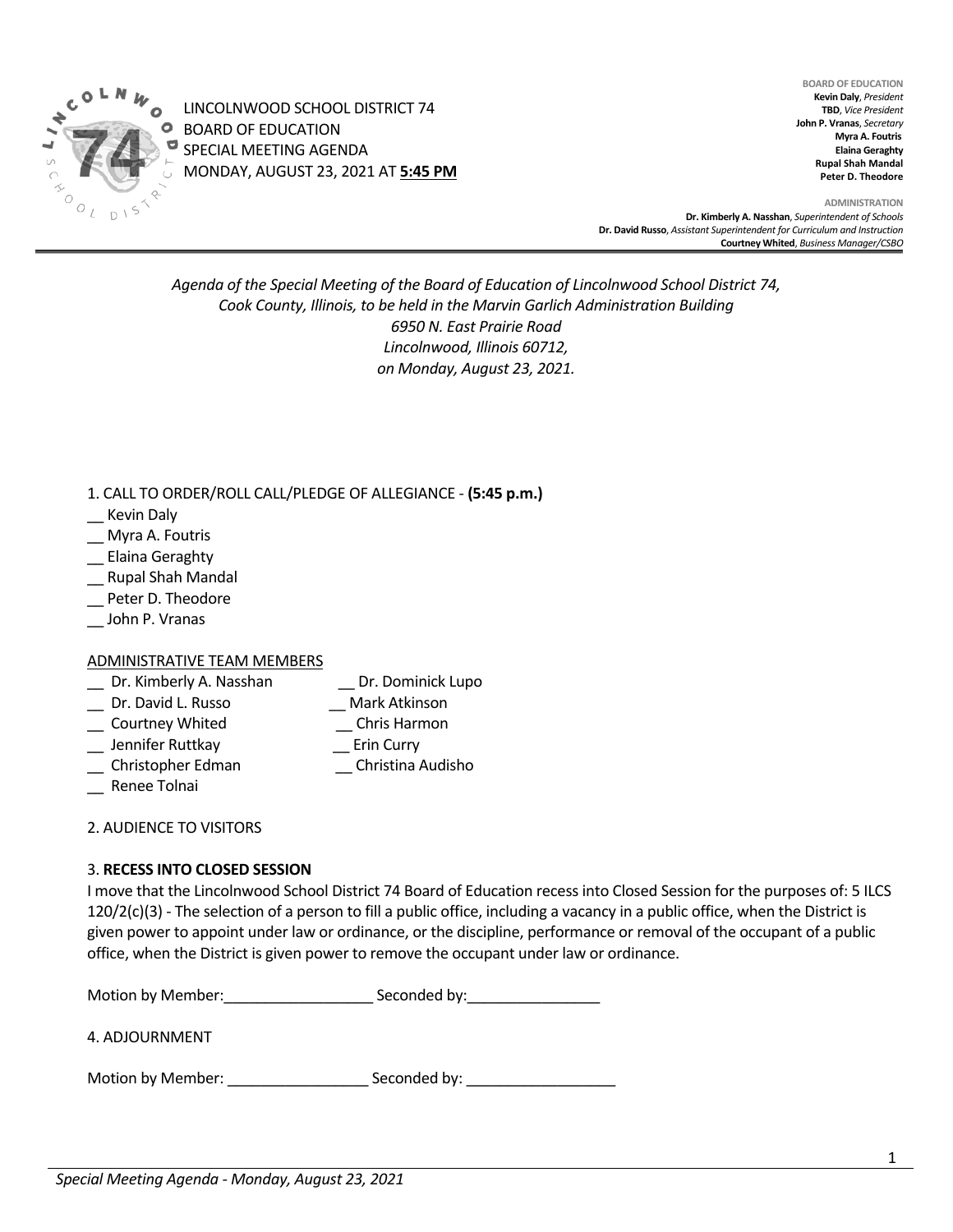

LINCOLNWOOD SCHOOL DISTRICT 74 BOARD OF EDUCATION SPECIAL MEETING AGENDA MONDAY, AUGUST 23, 2021 AT **5:45 PM**

**BOARD OF EDUCATION Kevin Daly**, *President* **TBD**, *Vice President* **John P. Vranas**, *Secretary*  **Myra A. Foutris Elaina Geraghty Rupal Shah Mandal Peter D. Theodore**

**ADMINISTRATION Dr. Kimberly A. Nasshan**, *Superintendent of Schools* **Dr. David Russo**, *Assistant Superintendent for Curriculum and Instruction* **Courtney Whited**, *Business Manager/CSBO* 

## *Agenda of the Special Meeting of the Board of Education of Lincolnwood School District 74, Cook County, Illinois, to be held in the Marvin Garlich Administration Building 6950 N. East Prairie Road Lincolnwood, Illinois 60712, on Monday, August 23, 2021.*

1. CALL TO ORDER/ROLL CALL/PLEDGE OF ALLEGIANCE - **(5:45 p.m.)** 

- \_\_ Kevin Daly
- \_\_ Myra A. Foutris
- \_\_ Elaina Geraghty
- \_\_ Rupal Shah Mandal
- Peter D. Theodore
- \_\_ John P. Vranas

## ADMINISTRATIVE TEAM MEMBERS

- \_\_ Dr. Kimberly A. Nasshan \_\_ Dr. Dominick Lupo \_\_ Dr. David L. Russo \_\_ Mark Atkinson \_\_ Courtney Whited \_\_ Jennifer Ruttkay \_\_ Erin Curry \_\_ Christopher Edman \_\_ Christina Audisho
- \_\_ Renee Tolnai

2. AUDIENCE TO VISITORS

## 3. **RECESS INTO CLOSED SESSION**

I move that the Lincolnwood School District 74 Board of Education recess into Closed Session for the purposes of: 5 ILCS  $120/2(c)(3)$  - The selection of a person to fill a public office, including a vacancy in a public office, when the District is given power to appoint under law or ordinance, or the discipline, performance or removal of the occupant of a public office, when the District is given power to remove the occupant under law or ordinance.

| Motion by Member: | Seconded by: |
|-------------------|--------------|
|                   |              |

4. ADJOURNMENT

Motion by Member: Seconded by: